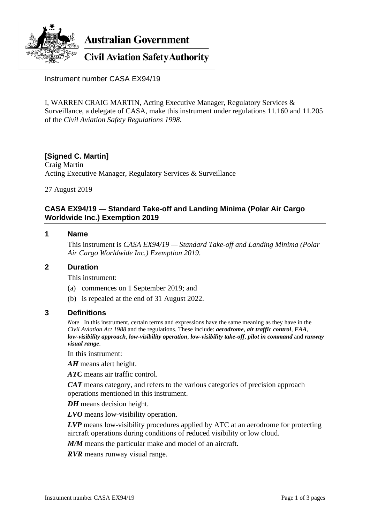

**Australian Government** 

**Civil Aviation Safety Authority** 

Instrument number CASA EX94/19

I, WARREN CRAIG MARTIN, Acting Executive Manager, Regulatory Services & Surveillance, a delegate of CASA, make this instrument under regulations 11.160 and 11.205 of the *Civil Aviation Safety Regulations 1998*.

# **[Signed C. Martin]**

Craig Martin Acting Executive Manager, Regulatory Services & Surveillance

27 August 2019

## **CASA EX94/19 — Standard Take-off and Landing Minima (Polar Air Cargo Worldwide Inc.) Exemption 2019**

#### **1 Name**

This instrument is *CASA EX94/19 — Standard Take-off and Landing Minima (Polar Air Cargo Worldwide Inc.) Exemption 2019*.

#### **2 Duration**

This instrument:

- (a) commences on 1 September 2019; and
- (b) is repealed at the end of 31 August 2022.

### **3 Definitions**

*Note* In this instrument, certain terms and expressions have the same meaning as they have in the *Civil Aviation Act 1988* and the regulations. These include: *aerodrome*, *air traffic control*, *FAA*, *low-visibility approach*, *low-visibility operation*, *low-visibility take-off*, *pilot in command* and *runway visual range*.

In this instrument:

*AH* means alert height.

*ATC* means air traffic control.

*CAT* means category, and refers to the various categories of precision approach operations mentioned in this instrument.

*DH* means decision height.

*LVO* means low-visibility operation.

*LVP* means low-visibility procedures applied by ATC at an aerodrome for protecting aircraft operations during conditions of reduced visibility or low cloud.

*M/M* means the particular make and model of an aircraft.

*RVR* means runway visual range.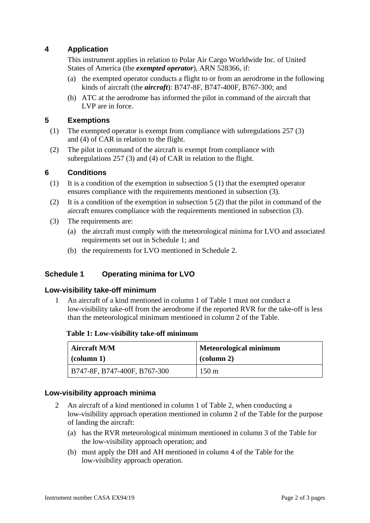## **4 Application**

This instrument applies in relation to Polar Air Cargo Worldwide Inc. of United States of America (the *exempted operator*), ARN 528366, if:

- (a) the exempted operator conducts a flight to or from an aerodrome in the following kinds of aircraft (the *aircraft*): B747-8F, B747-400F, B767-300; and
- (b) ATC at the aerodrome has informed the pilot in command of the aircraft that LVP are in force.

## **5 Exemptions**

- (1) The exempted operator is exempt from compliance with subregulations 257 (3) and (4) of CAR in relation to the flight.
- (2) The pilot in command of the aircraft is exempt from compliance with subregulations 257 (3) and (4) of CAR in relation to the flight.

#### **6 Conditions**

- (1) It is a condition of the exemption in subsection 5 (1) that the exempted operator ensures compliance with the requirements mentioned in subsection (3).
- (2) It is a condition of the exemption in subsection 5 (2) that the pilot in command of the aircraft ensures compliance with the requirements mentioned in subsection (3).
- (3) The requirements are:
	- (a) the aircraft must comply with the meteorological minima for LVO and associated requirements set out in Schedule 1; and
	- (b) the requirements for LVO mentioned in Schedule 2.

### **Schedule 1 Operating minima for LVO**

#### **Low-visibility take-off minimum**

1 An aircraft of a kind mentioned in column 1 of Table 1 must not conduct a low-visibility take-off from the aerodrome if the reported RVR for the take-off is less than the meteorological minimum mentioned in column 2 of the Table.

| <b>Aircraft M/M</b>          | <b>Meteorological minimum</b> |
|------------------------------|-------------------------------|
| $\alpha$ (column 1)          | $\alpha$ (column 2)           |
| B747-8F, B747-400F, B767-300 | $150 \text{ m}$               |

#### **Low-visibility approach minima**

- 2 An aircraft of a kind mentioned in column 1 of Table 2, when conducting a low-visibility approach operation mentioned in column 2 of the Table for the purpose of landing the aircraft:
	- (a) has the RVR meteorological minimum mentioned in column 3 of the Table for the low-visibility approach operation; and
	- (b) must apply the DH and AH mentioned in column 4 of the Table for the low-visibility approach operation.